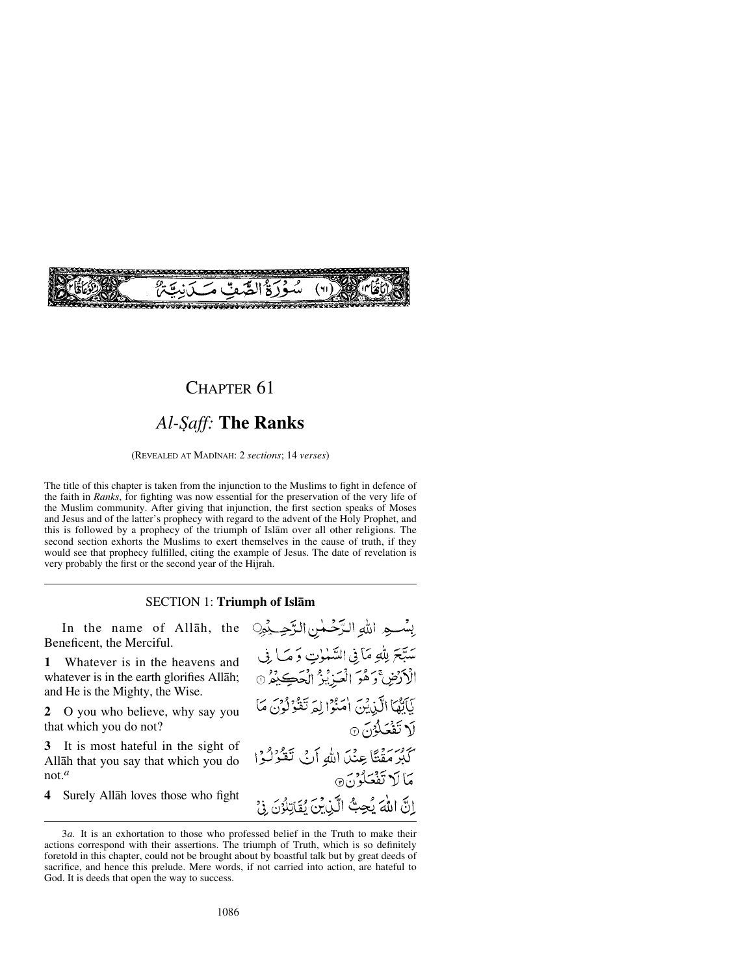

## CHAPTER 61

# Al-Saff: The Ranks

(REVEALED AT MADÍNAH: 2 *sections*; 14 *verses*)

The title of this chapter is taken from the injunction to the Muslims to fight in defence of the faith in *Ranks*, for fighting was now essential for the preservation of the very life of the Muslim community. After giving that injunction, the first section speaks of Moses and Jesus and of the latter's prophecy with regard to the advent of the Holy Prophet, and this is followed by a prophecy of the triumph of Islåm over all other religions. The second section exhorts the Muslims to exert themselves in the cause of truth, if they would see that prophecy fulfilled, citing the example of Jesus. The date of revelation is very probably the first or the second year of the Hijrah.

### SECTION 1: **Triumph of Islåm**

In the name of Allåh, the Beneficent, the Merciful.

**1** Whatever is in the heavens and whatever is in the earth glorifies Allåh; and He is the Mighty, the Wise.

**2** O you who believe, why say you that which you do not?

**3** It is most hateful in the sight of Allåh that you say that which you do not.*<sup>a</sup>*

**4** Surely Allåh loves those who fight

بِسْبِهِ اللهِ الزَّحْمٰنِ الزَّحِيْمِيِّ سَبَّحَ لِلَّهِ مَا فِي السَّمْوٰتِ وَمَا فِي الْأَرْضِ ۚ رَهُوَ الْعَذِيْزُ الْحَكِيْثُرِ ۞ بَأَبَّهْمَا الَّذِينَ امْنُوْا لِعَرْتَقَوْلُونَ مَا لَاتَفَعَلُوْنَ ۞ كَبْرَمَقْتًا عِنْدَ اللَّهِ أَنْ تَقْرُلُوْا مَا لَا تَفْعَلْوْنَ@ إِنَّ اللَّهَ يُحِبُّ الَّذِينَ يُقَاتِلُوْنَ فِي

<sup>3</sup>*a.* It is an exhortation to those who professed belief in the Truth to make their actions correspond with their assertions. The triumph of Truth, which is so definitely foretold in this chapter, could not be brought about by boastful talk but by great deeds of sacrifice, and hence this prelude. Mere words, if not carried into action, are hateful to God. It is deeds that open the way to success.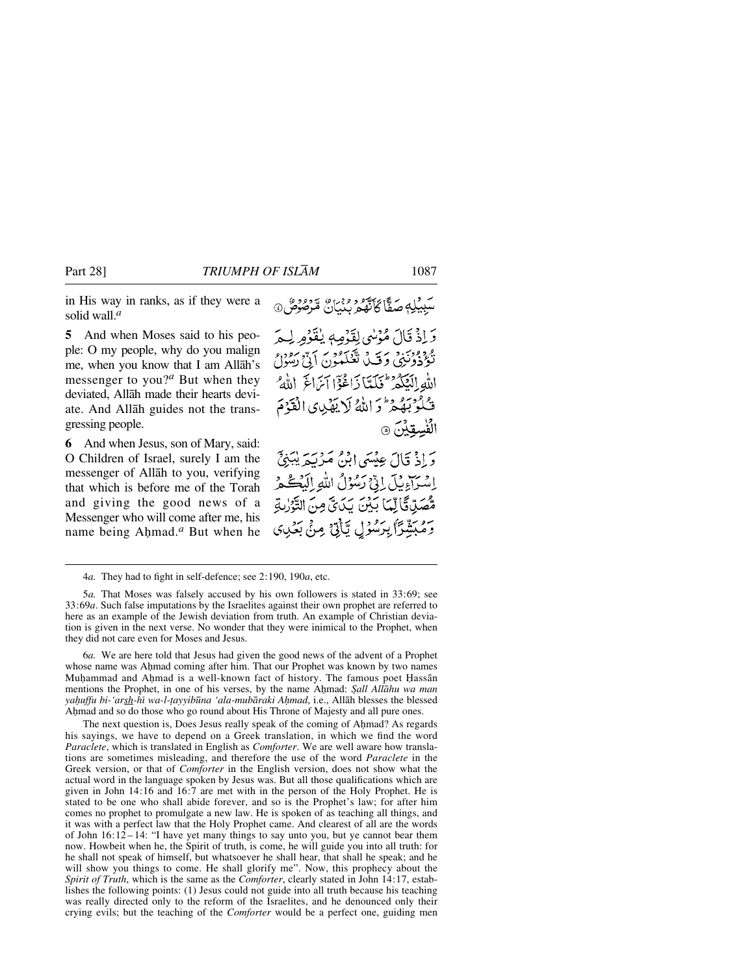in His way in ranks, as if they were a solid wall.*<sup>a</sup>*

**5** And when Moses said to his people: O my people, why do you malign me, when you know that I am Allåh's messenger to you?*<sup>a</sup>* But when they deviated, Allåh made their hearts deviate. And Allåh guides not the transgressing people.

**6** And when Jesus, son of Mary, said: O Children of Israel, surely I am the messenger of Allåh to you, verifying that which is before me of the Torah and giving the good news of a Messenger who will come after me, his name being Ahmad.<sup>*a*</sup> But when he

وَإِذْ قَالَ مُؤْسِي لِقَوْمِهِ يُفَوْمِ لِيَمْ دووين وق توكيون الأرسون الله الْكَكْدَ فَلَلَّنَا دَاغُوْٓا آيَرَاغَ اللَّهُ فَكْمُوْبَهُمْ ثَرَ اللَّهُ لَا يَهْدِي الْقَدْمَ الفسقين ١

وَ إِذْ قَالَ عِيْسَى إِبْنُ مَرْبَعَ يُبَنِيٍّ اسَرَاءِيلَ الِّيْ رَسُوْلُ اللَّهِ إِلَيْكُمْ مُّصَلِّ قَالِّهَا بِّيْنَ يَدَى وَنَ التَّوْرٰبَةِ وَمُبَشِّرًا بِرَسُوۡلِ يَّأَزِنۡ مِنۡ بَعۡلِهِ)

4*a.* They had to fight in self-defence; see 2:190, 190*a*, etc.

5*a.* That Moses was falsely accused by his own followers is stated in 33:69; see 33:69*a*. Such false imputations by the Israelites against their own prophet are referred to here as an example of the Jewish deviation from truth. An example of Christian deviation is given in the next verse. No wonder that they were inimical to the Prophet, when they did not care even for Moses and Jesus.

6*a.* We are here told that Jesus had given the good news of the advent of a Prophet whose name was Ahmad coming after him. That our Prophet was known by two names Muḥammad and Aḥmad is a well-known fact of history. The famous poet Ḥassān mentions the Prophet, in one of his verses, by the name Ahmad: *Şall Allāhu wa man* yahuffu bi-'arsh-hī wa-l-tayyibūna 'ala-mubāraki Aḥmad, i.e., Allāh blesses the blessed Ahmad and so do those who go round about His Throne of Majesty and all pure ones.

The next question is, Does Jesus really speak of the coming of Ahmad? As regards his sayings, we have to depend on a Greek translation, in which we find the word *Paraclete*, which is translated in English as *Comforter*. We are well aware how translations are sometimes misleading, and therefore the use of the word *Paraclete* in the Greek version, or that of *Comforter* in the English version, does not show what the actual word in the language spoken by Jesus was. But all those qualifications which are given in John 14:16 and 16:7 are met with in the person of the Holy Prophet. He is stated to be one who shall abide forever, and so is the Prophet's law; for after him comes no prophet to promulgate a new law. He is spoken of as teaching all things, and it was with a perfect law that the Holy Prophet came. And clearest of all are the words of John  $16:12-14$ : "I have yet many things to say unto you, but ye cannot bear them now. Howbeit when he, the Spirit of truth, is come, he will guide you into all truth: for he shall not speak of himself, but whatsoever he shall hear, that shall he speak; and he will show you things to come. He shall glorify me". Now, this prophecy about the *Spirit of Truth*, which is the same as the *Comforter*, clearly stated in John 14:17, establishes the following points: (1) Jesus could not guide into all truth because his teaching was really directed only to the reform of the Israelites, and he denounced only their crying evils; but the teaching of the *Comforter* would be a perfect one, guiding men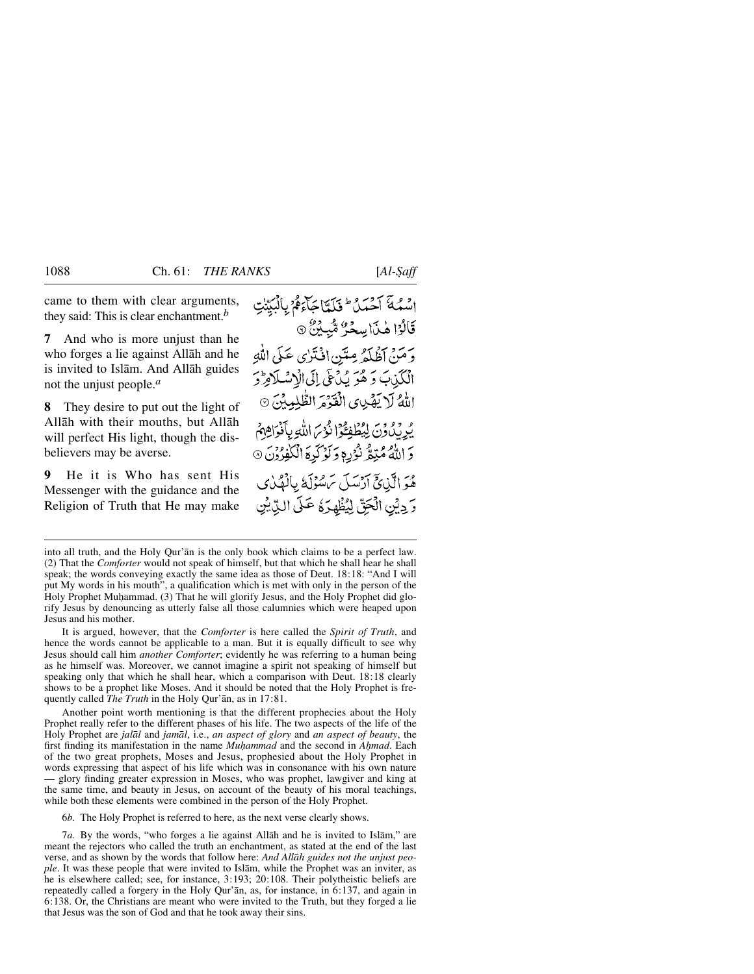came to them with clear arguments, they said: This is clear enchantment.*<sup>b</sup>*

**7** And who is more unjust than he who forges a lie against Allåh and he is invited to Islåm. And Allåh guides not the unjust people.*<sup>a</sup>*

**8** They desire to put out the light of Allåh with their mouths, but Allåh will perfect His light, though the disbelievers may be averse.

**9** He it is Who has sent His Messenger with the guidance and the Religion of Truth that He may make اسْمُهَ آَحْدَنُ طَلَمْنَا جَآءَهُمْ بِالْبَيِّنْتِ قَالُوْا هٰذَا سِحْرٌ مُّبِينٌ ۞ وَمَنْ أَظْلَمْهِ مِتَيْنِ اِفْتَرْيِ عَلَى اللَّهِ الْكَذِبَ وَهُوَ يُدْعَى إِلَى الْإِسْلَامِرّْدَ اللَّهُ لَا يَصْبِي الْقَدْمَ الظُّلِيبُنِّ ۞ يُرِيْدُونَ لِيُطْفِعُوْا ذُرْحَ اللَّهِ بِأَنْوَاهِهِمْ وَ اللَّهُ مُتِمٌّ نُؤْرِمٍ وَلَوْكَرِهَ الْكَفِرُونَ 6 هُوَ الَّذِينَجَ أَدْسَلَ سَسْؤَلَةً بِالْهُدْيِ وَ دِيْنِ الْجَقِّ لِيُظْهِرَهُ عَلَى الدِّيْنِ

It is argued, however, that the *Comforter* is here called the *Spirit of Truth*, and hence the words cannot be applicable to a man. But it is equally difficult to see why Jesus should call him *another Comforter*; evidently he was referring to a human being as he himself was. Moreover, we cannot imagine a spirit not speaking of himself but speaking only that which he shall hear, which a comparison with Deut. 18:18 clearly shows to be a prophet like Moses. And it should be noted that the Holy Prophet is frequently called *The Truth* in the Holy Qur'ån, as in 17:81.

Another point worth mentioning is that the different prophecies about the Holy Prophet really refer to the different phases of his life. The two aspects of the life of the Holy Prophet are *jalål* and *jamål*, i.e., *an aspect of glory* and *an aspect of beauty*, the first finding its manifestation in the name *Muhammad* and the second in *Ahmad*. Each of the two great prophets, Moses and Jesus, prophesied about the Holy Prophet in words expressing that aspect of his life which was in consonance with his own nature — glory finding greater expression in Moses, who was prophet, lawgiver and king at the same time, and beauty in Jesus, on account of the beauty of his moral teachings, while both these elements were combined in the person of the Holy Prophet.

6*b.* The Holy Prophet is referred to here, as the next verse clearly shows.

7*a.* By the words, "who forges a lie against Allåh and he is invited to Islåm," are meant the rejectors who called the truth an enchantment, as stated at the end of the last verse, and as shown by the words that follow here: *And Allåh guides not the unjust people*. It was these people that were invited to Islåm, while the Prophet was an inviter, as he is elsewhere called; see, for instance, 3:193; 20:108. Their polytheistic beliefs are repeatedly called a forgery in the Holy Qur'ån, as, for instance, in 6:137, and again in 6:138. Or, the Christians are meant who were invited to the Truth, but they forged a lie that Jesus was the son of God and that he took away their sins.

into all truth, and the Holy Qur'ån is the only book which claims to be a perfect law. (2) That the *Comforter* would not speak of himself, but that which he shall hear he shall speak; the words conveying exactly the same idea as those of Deut. 18:18: "And I will put My words in his mouth", a qualification which is met with only in the person of the Holy Prophet Muhammad. (3) That he will glorify Jesus, and the Holy Prophet did glorify Jesus by denouncing as utterly false all those calumnies which were heaped upon Jesus and his mother.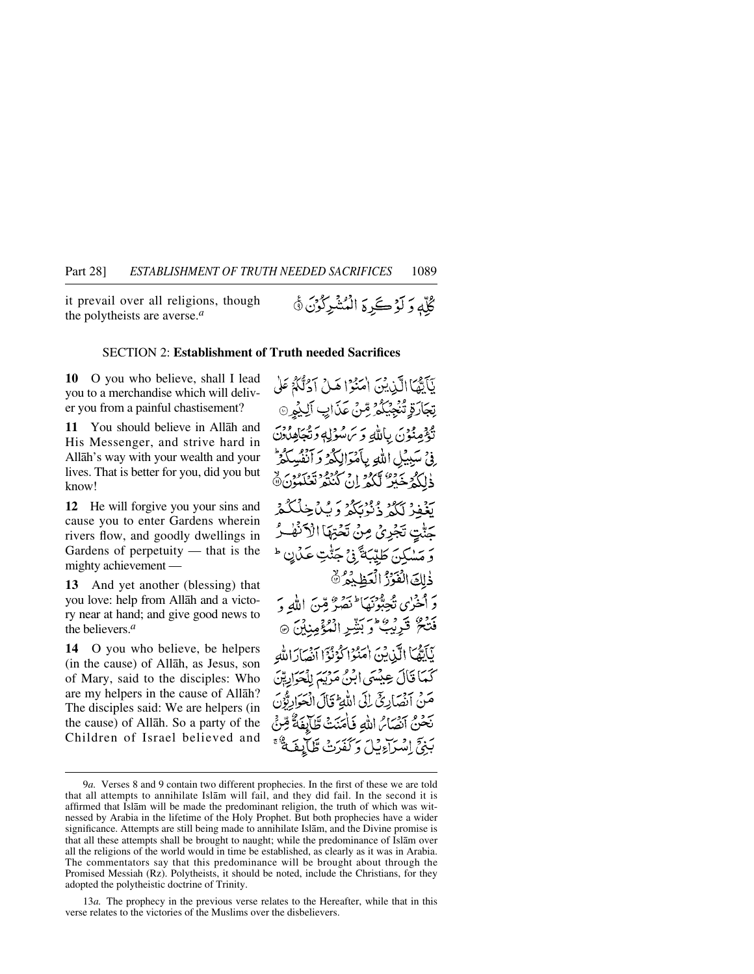it prevail over all religions, though the polytheists are averse.*<sup>a</sup>*

### SECTION 2: **Establishment of Truth needed Sacrifices**

**10** O you who believe, shall I lead you to a merchandise which will deliver you from a painful chastisement?

**11** You should believe in Allåh and His Messenger, and strive hard in Allåh's way with your wealth and your lives. That is better for you, did you but know!

**12** He will forgive you your sins and cause you to enter Gardens wherein rivers flow, and goodly dwellings in Gardens of perpetuity — that is the mighty achievement —

**13** And yet another (blessing) that you love: help from Allåh and a victory near at hand; and give good news to the believers.*<sup>a</sup>*

**14** O you who believe, be helpers (in the cause) of Allåh, as Jesus, son of Mary, said to the disciples: Who are my helpers in the cause of Allåh? The disciples said: We are helpers (in the cause) of Allåh. So a party of the Children of Israel believed and

نَأَيُّهَا الَّذِينَ اٰمَنُوۡۤا هَـٰ(ۡ اَدۡنُّلُّهُۚ عَلَىٰ تِجَارَةٍ تُنْجِيَكُمْ ِمِّنْ عَنَابِ اَلِيُمِنَّ تُؤْمِنُوْنَ بِاللَّهِ وَيَ سُوْلِهِ وَتُجَاهِدُونَ ِ فِيْ سَبِيْلِ اللَّهِ بِأَمْوَالِكُمْ وَآَنْفُسِكُمْ ذٰلِكُمْ خَبْرٌ لَّكُمْ إِنْ كُنْتُمْ تَعْلَمُوْنَ ١٥ تَغْفِرْ لَكُمْ ذُنْزُنَكُمْ وَيُبْاحِكْ جَنّْتٍ تَجْرِيْ مِنْ تَحْتِهَا الْأَنْهُ وَ مَسْكِنَ طَيِّبَةً فِي جَتّْتِ عَكَانٍ ۖ ذٰلِكَ الْفَرْزُ الْعَظِيْمُ \* دَ المُخْزِي تُجِبُّونَهَا ۖ نَصَرٌ مِّنَ اللَّهِ دَ فَتْحٌ قَرِيْبُ وَبَشِّرِ الْمُؤْمِنِينَ ۞ بَأَيُّهُمَا الَّيْنِيْنَ اٰ مَنُوْا كَوْنُوْا أَنْصَادَ اللَّهَ كَمَا قَالَ عِيْسَى ابْنُ مَرْيَمَ لِلْحَوَايِّةِنَ مَنْ أَنْصَارِئِ إِلَى اللَّهِ ۚ قَالَ الْحَوَارِبُّونَ بَحْنُ أَنْصَائِرِ اللَّهِ فَأَمَنَتْ طَآيَفَةٌ قِرْنٌ بَنِيٍّ إِسْرَاءِبَيْلَ دَ كَفَدَتْ طَيَايِدِ

13*a.* The prophecy in the previous verse relates to the Hereafter, while that in this verse relates to the victories of the Muslims over the disbelievers.

<sup>9</sup>*a.* Verses 8 and 9 contain two different prophecies. In the first of these we are told that all attempts to annihilate Islåm will fail, and they did fail. In the second it is affirmed that Islåm will be made the predominant religion, the truth of which was witnessed by Arabia in the lifetime of the Holy Prophet. But both prophecies have a wider significance. Attempts are still being made to annihilate Islåm, and the Divine promise is that all these attempts shall be brought to naught; while the predominance of Islåm over all the religions of the world would in time be established, as clearly as it was in Arabia. The commentators say that this predominance will be brought about through the Promised Messiah (Rz). Polytheists, it should be noted, include the Christians, for they adopted the polytheistic doctrine of Trinity.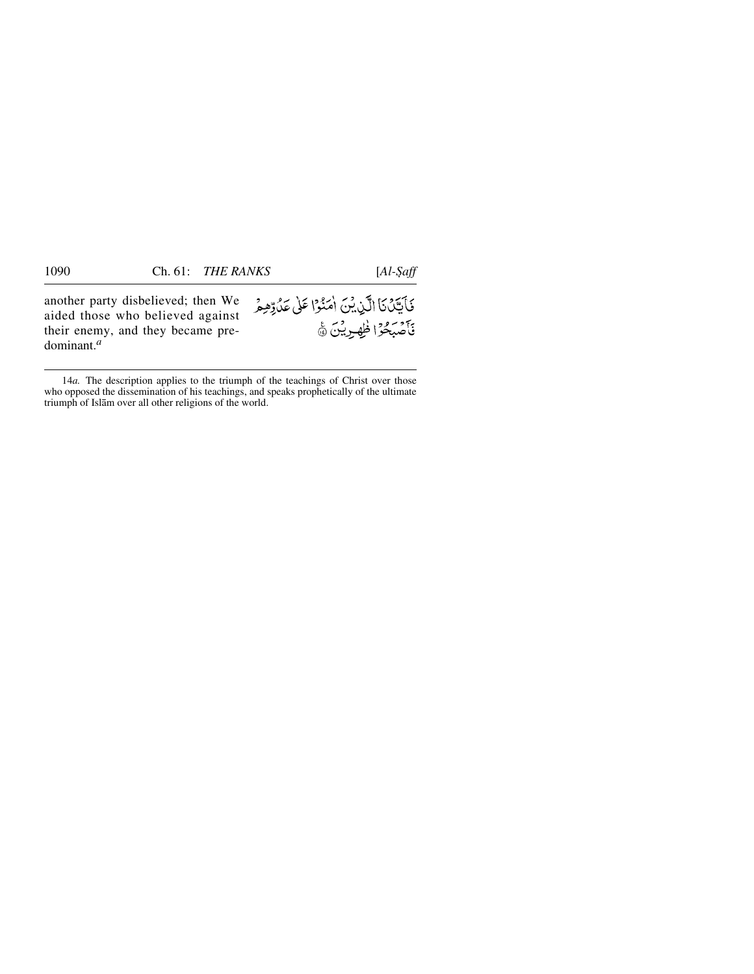another party disbelieved; then We aided those who believed against their enemy, and they became predominant.*<sup>a</sup>*

فَأَيَّكَ نَا الَّذِينَ امَنُوْا عَلَى عَدُوِّهِمُ فَأَصْبَحُوا ظَهْرِيْنَ ٢

<sup>14</sup>*a.* The description applies to the triumph of the teachings of Christ over those who opposed the dissemination of his teachings, and speaks prophetically of the ultimate triumph of Islåm over all other religions of the world.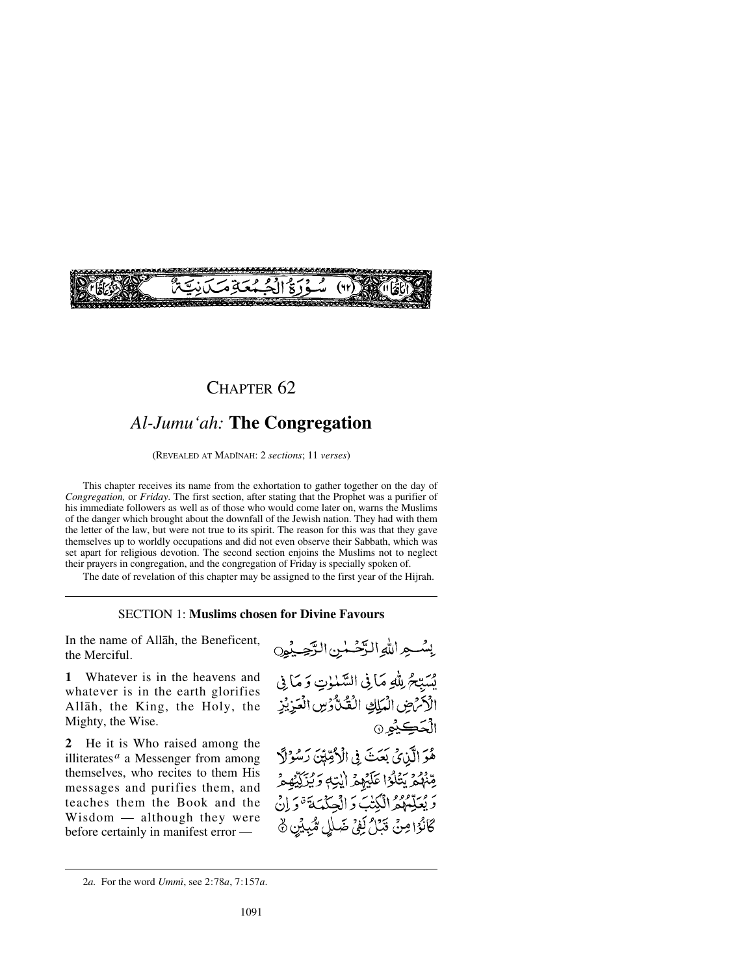## CHAPTER 62

# *Al-Jumu'ah:* **The Congregation**

(REVEALED AT MADÍNAH: 2 *sections*; 11 *verses*)

This chapter receives its name from the exhortation to gather together on the day of *Congregation,* or *Friday*. The first section, after stating that the Prophet was a purifier of his immediate followers as well as of those who would come later on, warns the Muslims of the danger which brought about the downfall of the Jewish nation. They had with them the letter of the law, but were not true to its spirit. The reason for this was that they gave themselves up to worldly occupations and did not even observe their Sabbath, which was set apart for religious devotion. The second section enjoins the Muslims not to neglect their prayers in congregation, and the congregation of Friday is specially spoken of.

The date of revelation of this chapter may be assigned to the first year of the Hijrah.

### SECTION 1: **Muslims chosen for Divine Favours**

In the name of Allåh, the Beneficent, the Merciful.

**1** Whatever is in the heavens and whatever is in the earth glorifies Allåh, the King, the Holy, the Mighty, the Wise.

**2** He it is Who raised among the illiterates*<sup>a</sup>* a Messenger from among themselves, who recites to them His messages and purifies them, and teaches them the Book and the Wisdom — although they were before certainly in manifest error —



2*a.* For the word *Ummß*, see 2:78*a*, 7:157*a*.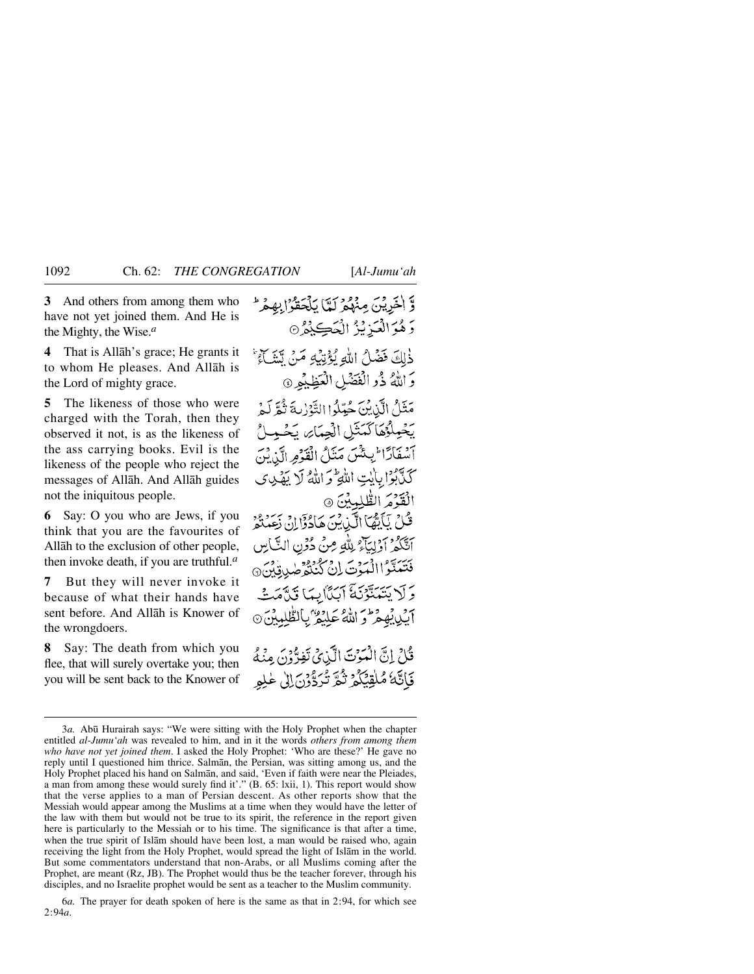**3** And others from among them who have not yet joined them. And He is the Mighty, the Wise.*<sup>a</sup>*

**4** That is Allåh's grace; He grants it to whom He pleases. And Allåh is the Lord of mighty grace.

**5** The likeness of those who were charged with the Torah, then they observed it not, is as the likeness of the ass carrying books. Evil is the likeness of the people who reject the messages of Allåh. And Allåh guides not the iniquitous people.

**6** Say: O you who are Jews, if you think that you are the favourites of Allåh to the exclusion of other people, then invoke death, if you are truthful.*<sup>a</sup>*

**7** But they will never invoke it because of what their hands have sent before. And Allåh is Knower of the wrongdoers.

**8** Say: The death from which you flee, that will surely overtake you; then you will be sent back to the Knower of وَّ اٰخَرِيْنَ مِنْهُمْ لَمَّا يَلْحَقُوْا بِهِمْ ۚ رَ هُوَالْعَزِيْزُ الْحَڪِيْئُرُ® ذٰلِكَ فَضْلُ اللَّهِ يُؤْتِيْهِ مَنْ يِّشَاءُ وَاللَّهُ ذُو الْفَضْلِ الْعَظِيْمِرِ ۞ مَثَلُ الَّذِينَ حُبِّلُوا التَّوْرِيةَ ثُمَّ لَمْ يَخْمِلُّهُمَاكَمَّتْلِ الْجِمَائِ يَخْمِلُّ آسفَادًا لِكُنْ مَنَلُ الْقَوْمِ الَّذِينَ كَذَّبَوْا بِأَيْتِ اللَّهِ وَاللَّهُ لَا يَهْدِي الْقَدْمَ الطّْلِمِينَ ۞ قُلْ يَأْيَيُّهَا أَلَّىٰٓنِينَ هَادُوْٓالِ زَعِيدَوْرِ أَتَكُمْ أَوْلِيَآْءُ لِلَّهِ مِنْ دُوْنِ النَّاسِ فَتَتَبَدَّ االْمَوْتَ إِنْ كُنْتُوْصِدِقِينَ @ رَ لَا يَتَهَدَّبُّونَ أَيَدًّا لَيْهَا قَدَّهُ آيِّدِي بِمُعْرَفِرِ اللَّهُ عَلِيْقُ بِالطَّلِمِيْنَ ۞ قُلْ إِنَّ الْمَوْتَ الَّذِيْ تَفِرُّوْنَ مِنْهُ

فَاتَّكَ مُلْقِيَكُمْ نُكُّرِ تُدَوَّرُنَ إِلَى عٰلِمِ

<sup>3</sup>*a*. Abū Hurairah says: "We were sitting with the Holy Prophet when the chapter entitled *al-Jumu'ah* was revealed to him, and in it the words *others from among them who have not yet joined them*. I asked the Holy Prophet: 'Who are these?' He gave no reply until I questioned him thrice. Salmån, the Persian, was sitting among us, and the Holy Prophet placed his hand on Salmån, and said, 'Even if faith were near the Pleiades, a man from among these would surely find it'." (B. 65: lxii, 1). This report would show that the verse applies to a man of Persian descent. As other reports show that the Messiah would appear among the Muslims at a time when they would have the letter of the law with them but would not be true to its spirit, the reference in the report given here is particularly to the Messiah or to his time. The significance is that after a time, when the true spirit of Islåm should have been lost, a man would be raised who, again receiving the light from the Holy Prophet, would spread the light of Islåm in the world. But some commentators understand that non-Arabs, or all Muslims coming after the Prophet, are meant (Rz, JB). The Prophet would thus be the teacher forever, through his disciples, and no Israelite prophet would be sent as a teacher to the Muslim community.

<sup>6</sup>*a.* The prayer for death spoken of here is the same as that in 2:94, for which see 2:94*a*.